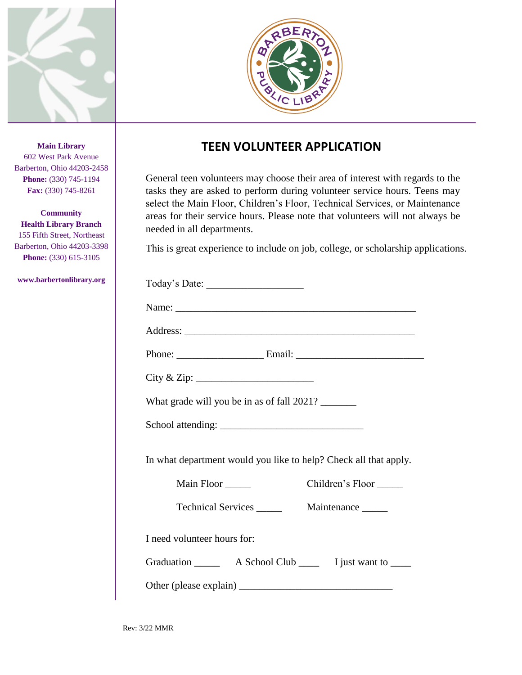



## **TEEN VOLUNTEER APPLICATION**

General teen volunteers may choose their area of interest with regards to the tasks they are asked to perform during volunteer service hours. Teens may select the Main Floor, Children's Floor, Technical Services, or Maintenance areas for their service hours. Please note that volunteers will not always be needed in all departments.

This is great experience to include on job, college, or scholarship applications.

| What grade will you be in as of fall 2021?                       |
|------------------------------------------------------------------|
|                                                                  |
| In what department would you like to help? Check all that apply. |
| Children's Floor<br>Main Floor                                   |
|                                                                  |
| I need volunteer hours for:                                      |
|                                                                  |
|                                                                  |

**Main Library** 602 West Park Avenue Barberton, Ohio 44203-2458 **Phone:** (330) 745-1194 **Fax:** (330) 745-8261

**Community Health Library Branch** 155 Fifth Street, Northeast Barberton, Ohio 44203-3398 **Phone:** (330) 615-3105

**www.barbertonlibrary.org**